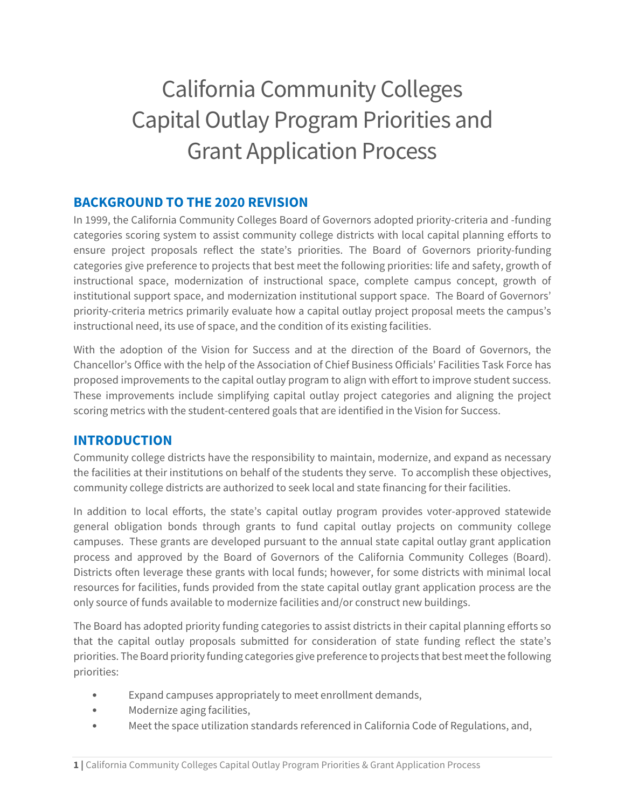# California Community Colleges Capital Outlay Program Priorities and Grant Application Process

## **BACKGROUND TO THE 2020 REVISION**

In 1999, the California Community Colleges Board of Governors adopted priority-criteria and -funding categories scoring system to assist community college districts with local capital planning efforts to ensure project proposals reflect the state's priorities. The Board of Governors priority-funding categories give preference to projects that best meet the following priorities: life and safety, growth of instructional space, modernization of instructional space, complete campus concept, growth of institutional support space, and modernization institutional support space. The Board of Governors' priority-criteria metrics primarily evaluate how a capital outlay project proposal meets the campus's instructional need, its use of space, and the condition of its existing facilities.

With the adoption of the Vision for Success and at the direction of the Board of Governors, the Chancellor's Office with the help of the Association of Chief Business Officials' Facilities Task Force has proposed improvements to the capital outlay program to align with effort to improve student success. These improvements include simplifying capital outlay project categories and aligning the project scoring metrics with the student-centered goals that are identified in the Vision for Success.

## **INTRODUCTION**

Community college districts have the responsibility to maintain, modernize, and expand as necessary the facilities at their institutions on behalf of the students they serve. To accomplish these objectives, community college districts are authorized to seek local and state financing for their facilities.

In addition to local efforts, the state's capital outlay program provides voter-approved statewide general obligation bonds through grants to fund capital outlay projects on community college campuses. These grants are developed pursuant to the annual state capital outlay grant application process and approved by the Board of Governors of the California Community Colleges (Board). Districts often leverage these grants with local funds; however, for some districts with minimal local resources for facilities, funds provided from the state capital outlay grant application process are the only source of funds available to modernize facilities and/or construct new buildings.

The Board has adopted priority funding categories to assist districts in their capital planning efforts so that the capital outlay proposals submitted for consideration of state funding reflect the state's priorities. The Board priority funding categories give preference to projects that best meet the following priorities:

- Expand campuses appropriately to meet enrollment demands,
- Modernize aging facilities,
- Meet the space utilization standards referenced in California Code of Regulations, and,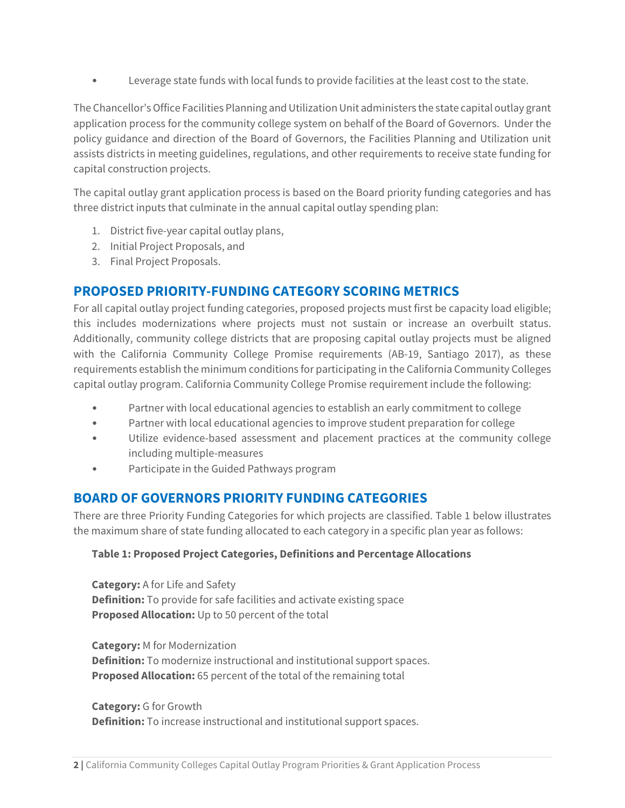• Leverage state funds with local funds to provide facilities at the least cost to the state.

The Chancellor's Office Facilities Planning and Utilization Unit administers the state capital outlay grant application process for the community college system on behalf of the Board of Governors. Under the policy guidance and direction of the Board of Governors, the Facilities Planning and Utilization unit assists districts in meeting guidelines, regulations, and other requirements to receive state funding for capital construction projects.

The capital outlay grant application process is based on the Board priority funding categories and has three district inputs that culminate in the annual capital outlay spending plan:

- 1. District five-year capital outlay plans,
- 2. Initial Project Proposals, and
- 3. Final Project Proposals.

## **PROPOSED PRIORITY-FUNDING CATEGORY SCORING METRICS**

For all capital outlay project funding categories, proposed projects must first be capacity load eligible; this includes modernizations where projects must not sustain or increase an overbuilt status. Additionally, community college districts that are proposing capital outlay projects must be aligned with the California Community College Promise requirements (AB-19, Santiago 2017), as these requirements establish the minimum conditions for participating in the California Community Colleges capital outlay program. California Community College Promise requirement include the following:

- Partner with local educational agencies to establish an early commitment to college
- Partner with local educational agencies to improve student preparation for college
- Utilize evidence-based assessment and placement practices at the community college including multiple-measures
- Participate in the Guided Pathways program

## **BOARD OF GOVERNORS PRIORITY FUNDING CATEGORIES**

There are three Priority Funding Categories for which projects are classified. Table 1 below illustrates the maximum share of state funding allocated to each category in a specific plan year as follows:

#### **Table 1: Proposed Project Categories, Definitions and Percentage Allocations**

**Category:** A for Life and Safety **Definition:** To provide for safe facilities and activate existing space **Proposed Allocation:** Up to 50 percent of the total

**Category:** M for Modernization **Definition:** To modernize instructional and institutional support spaces. **Proposed Allocation:** 65 percent of the total of the remaining total

**Category:** G for Growth **Definition:** To increase instructional and institutional support spaces.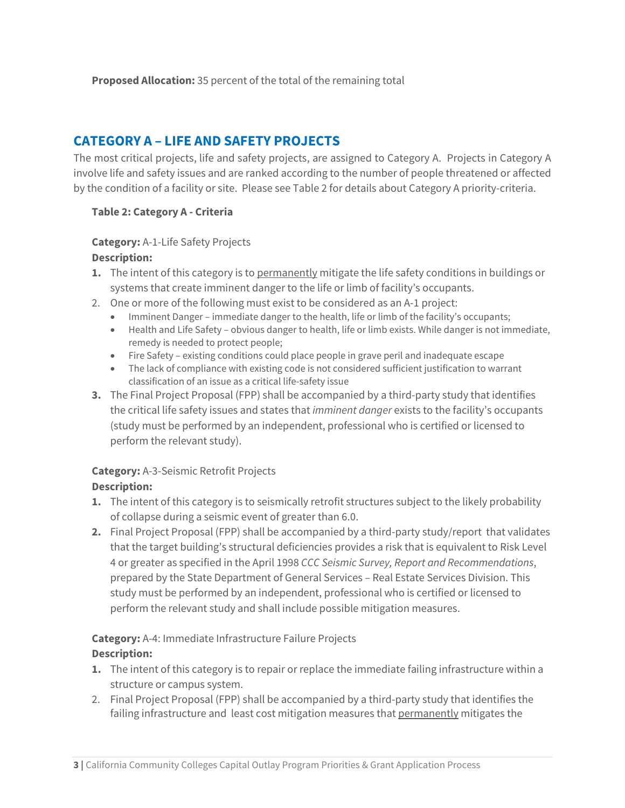**Proposed Allocation:** 35 percent of the total of the remaining total

# **CATEGORY A – LIFE AND SAFETY PROJECTS**

The most critical projects, life and safety projects, are assigned to Category A. Projects in Category A involve life and safety issues and are ranked according to the number of people threatened or affected by the condition of a facility or site. Please see Table 2 for details about Category A priority-criteria.

#### **Table 2: Category A - Criteria**

#### **Category:** A-1-Life Safety Projects **Description:**

- **1.** The intent of this category is to permanently mitigate the life safety conditions in buildings or systems that create imminent danger to the life or limb of facility's occupants.
- 2. One or more of the following must exist to be considered as an A-1 project:
	- Imminent Danger immediate danger to the health, life or limb of the facility's occupants;
	- Health and Life Safety obvious danger to health, life or limb exists. While danger is not immediate, remedy is needed to protect people;
	- Fire Safety existing conditions could place people in grave peril and inadequate escape
	- The lack of compliance with existing code is not considered sufficient justification to warrant classification of an issue as a critical life-safety issue
- **3.** The Final Project Proposal (FPP) shall be accompanied by a third-party study that identifies the critical life safety issues and states that *imminent danger* exists to the facility's occupants (study must be performed by an independent, professional who is certified or licensed to perform the relevant study).

# **Category:** A-3-Seismic Retrofit Projects

## **Description:**

- **1.** The intent of this category is to seismically retrofit structures subject to the likely probability of collapse during a seismic event of greater than 6.0.
- **2.** Final Project Proposal (FPP) shall be accompanied by a third-party study/report that validates that the target building's structural deficiencies provides a risk that is equivalent to Risk Level 4 or greater as specified in the April 1998 *CCC Seismic Survey, Report and Recommendations*, prepared by the State Department of General Services – Real Estate Services Division. This study must be performed by an independent, professional who is certified or licensed to perform the relevant study and shall include possible mitigation measures.

# **Category:** A-4: Immediate Infrastructure Failure Projects

#### **Description:**

- **1.** The intent of this category is to repair or replace the immediate failing infrastructure within a structure or campus system.
- 2. Final Project Proposal (FPP) shall be accompanied by a third-party study that identifies the failing infrastructure and least cost mitigation measures that permanently mitigates the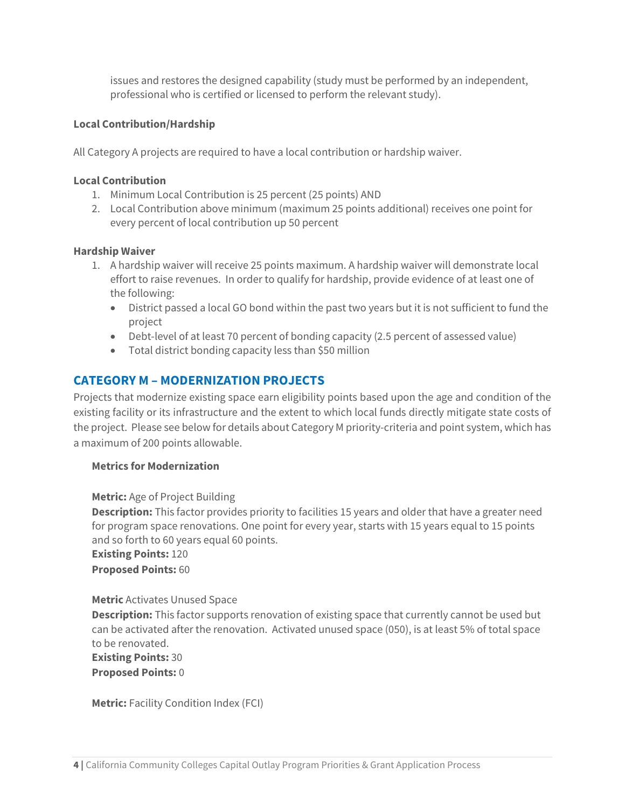issues and restores the designed capability (study must be performed by an independent, professional who is certified or licensed to perform the relevant study).

#### **Local Contribution/Hardship**

All Category A projects are required to have a local contribution or hardship waiver.

#### **Local Contribution**

- 1. Minimum Local Contribution is 25 percent (25 points) AND
- 2. Local Contribution above minimum (maximum 25 points additional) receives one point for every percent of local contribution up 50 percent

#### **Hardship Waiver**

- 1. A hardship waiver will receive 25 points maximum. A hardship waiver will demonstrate local effort to raise revenues. In order to qualify for hardship, provide evidence of at least one of the following:
	- District passed a local GO bond within the past two years but it is not sufficient to fund the project
	- Debt-level of at least 70 percent of bonding capacity (2.5 percent of assessed value)
	- Total district bonding capacity less than \$50 million

## **CATEGORY M – MODERNIZATION PROJECTS**

Projects that modernize existing space earn eligibility points based upon the age and condition of the existing facility or its infrastructure and the extent to which local funds directly mitigate state costs of the project. Please see below for details about Category M priority-criteria and point system, which has a maximum of 200 points allowable.

#### **Metrics for Modernization**

**Metric:** Age of Project Building

**Description:** This factor provides priority to facilities 15 years and older that have a greater need for program space renovations. One point for every year, starts with 15 years equal to 15 points and so forth to 60 years equal 60 points.

**Existing Points:** 120

**Proposed Points:** 60

#### **Metric** Activates Unused Space

**Description:** This factor supports renovation of existing space that currently cannot be used but can be activated after the renovation. Activated unused space (050), is at least 5% of total space to be renovated.

**Existing Points:** 30 **Proposed Points:** 0

**Metric:** Facility Condition Index (FCI)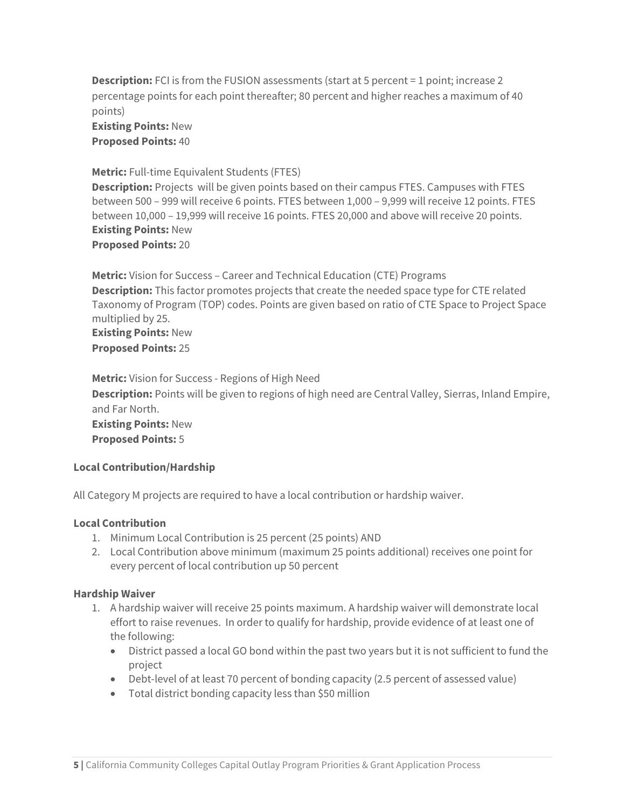**Description:** FCI is from the FUSION assessments (start at 5 percent = 1 point; increase 2 percentage points for each point thereafter; 80 percent and higher reaches a maximum of 40 points)

**Existing Points:** New **Proposed Points:** 40

#### **Metric:** Full-time Equivalent Students (FTES)

**Description:** Projects will be given points based on their campus FTES. Campuses with FTES between 500 – 999 will receive 6 points. FTES between 1,000 – 9,999 will receive 12 points. FTES between 10,000 – 19,999 will receive 16 points. FTES 20,000 and above will receive 20 points. **Existing Points:** New **Proposed Points:** 20

**Metric:** Vision for Success – Career and Technical Education (CTE) Programs **Description:** This factor promotes projects that create the needed space type for CTE related Taxonomy of Program (TOP) codes. Points are given based on ratio of CTE Space to Project Space multiplied by 25. **Existing Points:** New

**Proposed Points:** 25

**Metric:** Vision for Success - Regions of High Need **Description:** Points will be given to regions of high need are Central Valley, Sierras, Inland Empire, and Far North. **Existing Points:** New **Proposed Points:** 5

#### **Local Contribution/Hardship**

All Category M projects are required to have a local contribution or hardship waiver.

#### **Local Contribution**

- 1. Minimum Local Contribution is 25 percent (25 points) AND
- 2. Local Contribution above minimum (maximum 25 points additional) receives one point for every percent of local contribution up 50 percent

#### **Hardship Waiver**

- 1. A hardship waiver will receive 25 points maximum. A hardship waiver will demonstrate local effort to raise revenues. In order to qualify for hardship, provide evidence of at least one of the following:
	- District passed a local GO bond within the past two years but it is not sufficient to fund the project
	- Debt-level of at least 70 percent of bonding capacity (2.5 percent of assessed value)
	- Total district bonding capacity less than \$50 million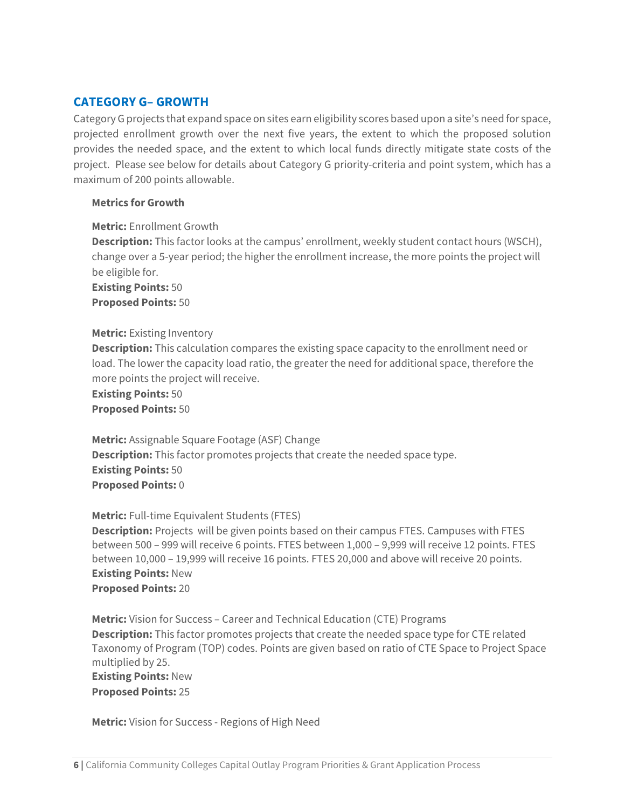## **CATEGORY G– GROWTH**

Category G projects that expand space on sites earn eligibility scores based upon a site's need for space, projected enrollment growth over the next five years, the extent to which the proposed solution provides the needed space, and the extent to which local funds directly mitigate state costs of the project. Please see below for details about Category G priority-criteria and point system, which has a maximum of 200 points allowable.

#### **Metrics for Growth**

**Metric:** Enrollment Growth

**Description:** This factor looks at the campus' enrollment, weekly student contact hours (WSCH), change over a 5-year period; the higher the enrollment increase, the more points the project will be eligible for.

**Existing Points:** 50 **Proposed Points:** 50

#### **Metric:** Existing Inventory

**Description:** This calculation compares the existing space capacity to the enrollment need or load. The lower the capacity load ratio, the greater the need for additional space, therefore the more points the project will receive.

**Existing Points:** 50 **Proposed Points:** 50

**Metric:** Assignable Square Footage (ASF) Change **Description:** This factor promotes projects that create the needed space type. **Existing Points:** 50 **Proposed Points:** 0

#### **Metric:** Full-time Equivalent Students (FTES)

**Description:** Projects will be given points based on their campus FTES. Campuses with FTES between 500 – 999 will receive 6 points. FTES between 1,000 – 9,999 will receive 12 points. FTES between 10,000 – 19,999 will receive 16 points. FTES 20,000 and above will receive 20 points. **Existing Points:** New **Proposed Points:** 20

**Metric:** Vision for Success – Career and Technical Education (CTE) Programs **Description:** This factor promotes projects that create the needed space type for CTE related Taxonomy of Program (TOP) codes. Points are given based on ratio of CTE Space to Project Space multiplied by 25. **Existing Points:** New **Proposed Points:** 25

**Metric:** Vision for Success - Regions of High Need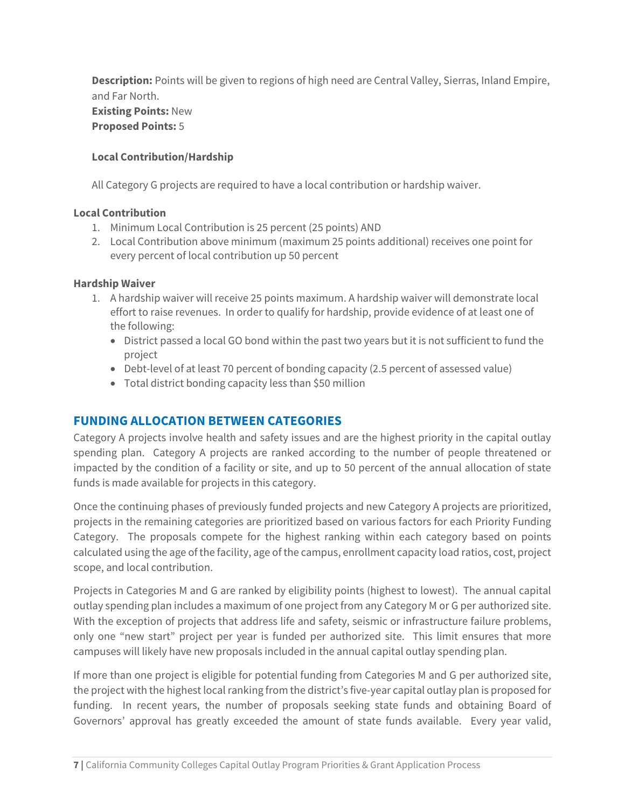**Description:** Points will be given to regions of high need are Central Valley, Sierras, Inland Empire, and Far North. **Existing Points:** New **Proposed Points:** 5

#### **Local Contribution/Hardship**

All Category G projects are required to have a local contribution or hardship waiver.

#### **Local Contribution**

- 1. Minimum Local Contribution is 25 percent (25 points) AND
- 2. Local Contribution above minimum (maximum 25 points additional) receives one point for every percent of local contribution up 50 percent

#### **Hardship Waiver**

- 1. A hardship waiver will receive 25 points maximum. A hardship waiver will demonstrate local effort to raise revenues. In order to qualify for hardship, provide evidence of at least one of the following:
	- District passed a local GO bond within the past two years but it is not sufficient to fund the project
	- Debt-level of at least 70 percent of bonding capacity (2.5 percent of assessed value)
	- Total district bonding capacity less than \$50 million

## **FUNDING ALLOCATION BETWEEN CATEGORIES**

Category A projects involve health and safety issues and are the highest priority in the capital outlay spending plan. Category A projects are ranked according to the number of people threatened or impacted by the condition of a facility or site, and up to 50 percent of the annual allocation of state funds is made available for projects in this category.

Once the continuing phases of previously funded projects and new Category A projects are prioritized, projects in the remaining categories are prioritized based on various factors for each Priority Funding Category. The proposals compete for the highest ranking within each category based on points calculated using the age of the facility, age of the campus, enrollment capacity load ratios, cost, project scope, and local contribution.

Projects in Categories M and G are ranked by eligibility points (highest to lowest). The annual capital outlay spending plan includes a maximum of one project from any Category M or G per authorized site. With the exception of projects that address life and safety, seismic or infrastructure failure problems, only one "new start" project per year is funded per authorized site. This limit ensures that more campuses will likely have new proposals included in the annual capital outlay spending plan.

If more than one project is eligible for potential funding from Categories M and G per authorized site, the project with the highest local ranking from the district's five-year capital outlay plan is proposed for funding. In recent years, the number of proposals seeking state funds and obtaining Board of Governors' approval has greatly exceeded the amount of state funds available. Every year valid,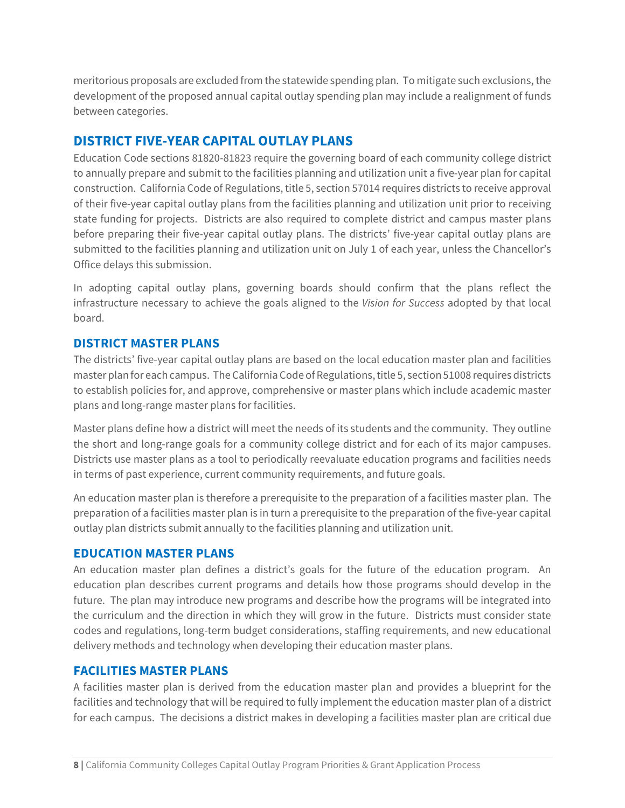meritorious proposals are excluded from the statewide spending plan. To mitigate such exclusions, the development of the proposed annual capital outlay spending plan may include a realignment of funds between categories.

## **DISTRICT FIVE-YEAR CAPITAL OUTLAY PLANS**

Education Code sections 81820-81823 require the governing board of each community college district to annually prepare and submit to the facilities planning and utilization unit a five-year plan for capital construction. California Code of Regulations, title 5, section 57014 requires districts to receive approval of their five-year capital outlay plans from the facilities planning and utilization unit prior to receiving state funding for projects. Districts are also required to complete district and campus master plans before preparing their five-year capital outlay plans. The districts' five-year capital outlay plans are submitted to the facilities planning and utilization unit on July 1 of each year, unless the Chancellor's Office delays this submission.

In adopting capital outlay plans, governing boards should confirm that the plans reflect the infrastructure necessary to achieve the goals aligned to the *Vision for Success* adopted by that local board.

## **DISTRICT MASTER PLANS**

The districts' five-year capital outlay plans are based on the local education master plan and facilities master plan for each campus. The California Code of Regulations, title 5, section 51008 requires districts to establish policies for, and approve, comprehensive or master plans which include academic master plans and long-range master plans for facilities.

Master plans define how a district will meet the needs of its students and the community. They outline the short and long-range goals for a community college district and for each of its major campuses. Districts use master plans as a tool to periodically reevaluate education programs and facilities needs in terms of past experience, current community requirements, and future goals.

An education master plan is therefore a prerequisite to the preparation of a facilities master plan. The preparation of a facilities master plan is in turn a prerequisite to the preparation of the five-year capital outlay plan districts submit annually to the facilities planning and utilization unit.

#### **EDUCATION MASTER PLANS**

An education master plan defines a district's goals for the future of the education program. An education plan describes current programs and details how those programs should develop in the future. The plan may introduce new programs and describe how the programs will be integrated into the curriculum and the direction in which they will grow in the future. Districts must consider state codes and regulations, long-term budget considerations, staffing requirements, and new educational delivery methods and technology when developing their education master plans.

#### **FACILITIES MASTER PLANS**

A facilities master plan is derived from the education master plan and provides a blueprint for the facilities and technology that will be required to fully implement the education master plan of a district for each campus. The decisions a district makes in developing a facilities master plan are critical due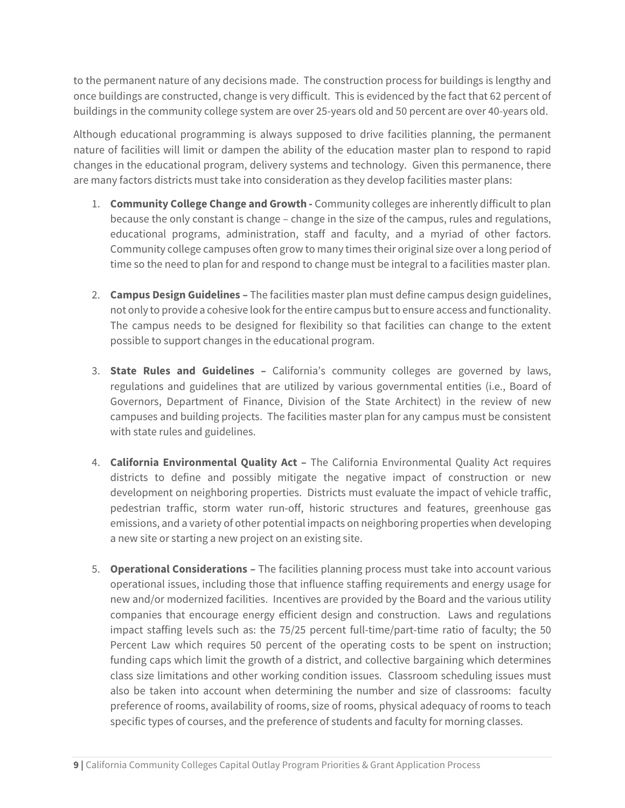to the permanent nature of any decisions made. The construction process for buildings is lengthy and once buildings are constructed, change is very difficult. This is evidenced by the fact that 62 percent of buildings in the community college system are over 25-years old and 50 percent are over 40-years old.

Although educational programming is always supposed to drive facilities planning, the permanent nature of facilities will limit or dampen the ability of the education master plan to respond to rapid changes in the educational program, delivery systems and technology. Given this permanence, there are many factors districts must take into consideration as they develop facilities master plans:

- 1. **Community College Change and Growth -** Community colleges are inherently difficult to plan because the only constant is change – change in the size of the campus, rules and regulations, educational programs, administration, staff and faculty, and a myriad of other factors. Community college campuses often grow to many times their original size over a long period of time so the need to plan for and respond to change must be integral to a facilities master plan.
- 2. **Campus Design Guidelines –** The facilities master plan must define campus design guidelines, not only to provide a cohesive look for the entire campus but to ensure access and functionality. The campus needs to be designed for flexibility so that facilities can change to the extent possible to support changes in the educational program.
- 3. **State Rules and Guidelines –** California's community colleges are governed by laws, regulations and guidelines that are utilized by various governmental entities (i.e., Board of Governors, Department of Finance, Division of the State Architect) in the review of new campuses and building projects. The facilities master plan for any campus must be consistent with state rules and guidelines.
- 4. **California Environmental Quality Act –** The California Environmental Quality Act requires districts to define and possibly mitigate the negative impact of construction or new development on neighboring properties. Districts must evaluate the impact of vehicle traffic, pedestrian traffic, storm water run-off, historic structures and features, greenhouse gas emissions, and a variety of other potential impacts on neighboring properties when developing a new site or starting a new project on an existing site.
- 5. **Operational Considerations –** The facilities planning process must take into account various operational issues, including those that influence staffing requirements and energy usage for new and/or modernized facilities. Incentives are provided by the Board and the various utility companies that encourage energy efficient design and construction. Laws and regulations impact staffing levels such as: the 75/25 percent full-time/part-time ratio of faculty; the 50 Percent Law which requires 50 percent of the operating costs to be spent on instruction; funding caps which limit the growth of a district, and collective bargaining which determines class size limitations and other working condition issues. Classroom scheduling issues must also be taken into account when determining the number and size of classrooms: faculty preference of rooms, availability of rooms, size of rooms, physical adequacy of rooms to teach specific types of courses, and the preference of students and faculty for morning classes.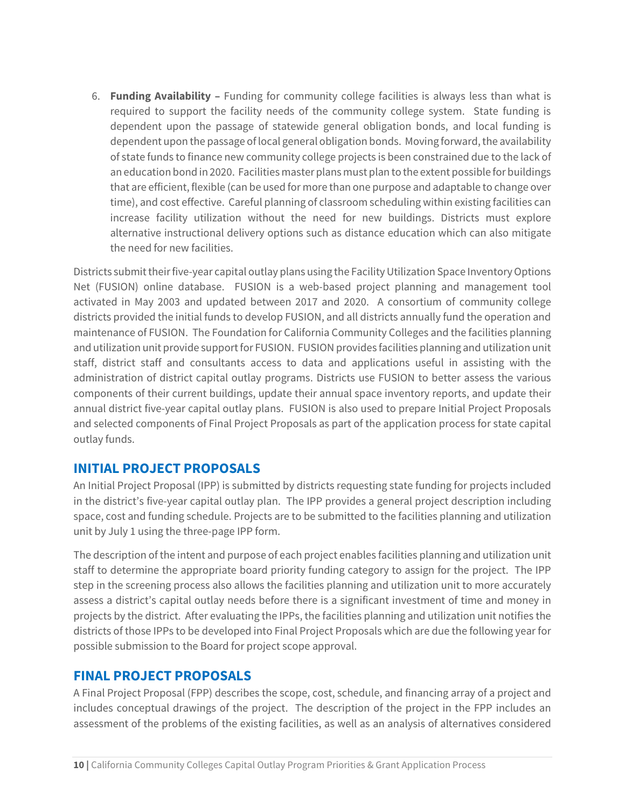6. **Funding Availability –** Funding for community college facilities is always less than what is required to support the facility needs of the community college system. State funding is dependent upon the passage of statewide general obligation bonds, and local funding is dependent upon the passage of local general obligation bonds. Moving forward, the availability of state funds to finance new community college projects is been constrained due to the lack of an education bond in 2020. Facilities master plans must plan to the extent possible for buildings that are efficient, flexible (can be used for more than one purpose and adaptable to change over time), and cost effective. Careful planning of classroom scheduling within existing facilities can increase facility utilization without the need for new buildings. Districts must explore alternative instructional delivery options such as distance education which can also mitigate the need for new facilities.

Districts submit their five-year capital outlay plans using the Facility Utilization Space Inventory Options Net (FUSION) online database. FUSION is a web-based project planning and management tool activated in May 2003 and updated between 2017 and 2020. A consortium of community college districts provided the initial funds to develop FUSION, and all districts annually fund the operation and maintenance of FUSION. The Foundation for California Community Colleges and the facilities planning and utilization unit provide support for FUSION. FUSION provides facilities planning and utilization unit staff, district staff and consultants access to data and applications useful in assisting with the administration of district capital outlay programs. Districts use FUSION to better assess the various components of their current buildings, update their annual space inventory reports, and update their annual district five-year capital outlay plans. FUSION is also used to prepare Initial Project Proposals and selected components of Final Project Proposals as part of the application process for state capital outlay funds.

## **INITIAL PROJECT PROPOSALS**

An Initial Project Proposal (IPP) is submitted by districts requesting state funding for projects included in the district's five-year capital outlay plan. The IPP provides a general project description including space, cost and funding schedule. Projects are to be submitted to the facilities planning and utilization unit by July 1 using the three-page IPP form.

The description of the intent and purpose of each project enables facilities planning and utilization unit staff to determine the appropriate board priority funding category to assign for the project. The IPP step in the screening process also allows the facilities planning and utilization unit to more accurately assess a district's capital outlay needs before there is a significant investment of time and money in projects by the district. After evaluating the IPPs, the facilities planning and utilization unit notifies the districts of those IPPs to be developed into Final Project Proposals which are due the following year for possible submission to the Board for project scope approval.

## **FINAL PROJECT PROPOSALS**

A Final Project Proposal (FPP) describes the scope, cost, schedule, and financing array of a project and includes conceptual drawings of the project. The description of the project in the FPP includes an assessment of the problems of the existing facilities, as well as an analysis of alternatives considered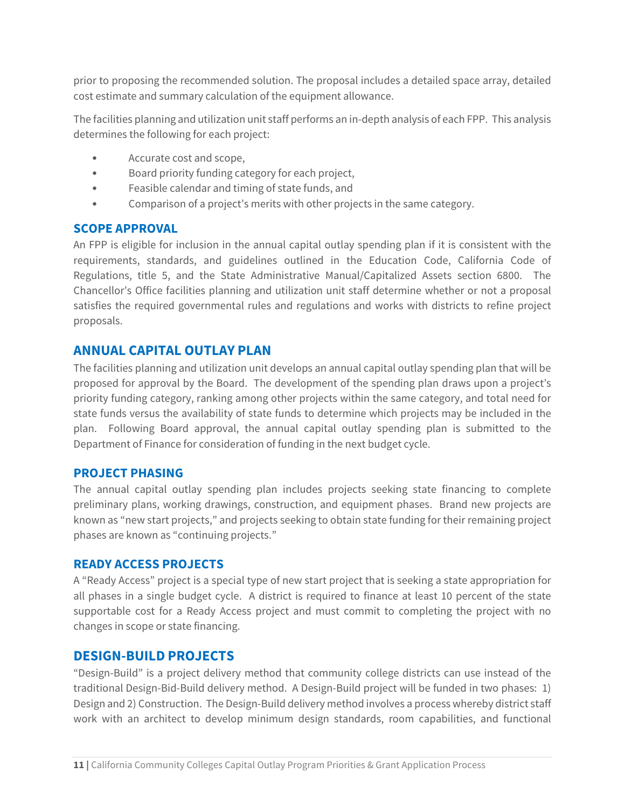prior to proposing the recommended solution. The proposal includes a detailed space array, detailed cost estimate and summary calculation of the equipment allowance.

The facilities planning and utilization unit staff performs an in-depth analysis of each FPP. This analysis determines the following for each project:

- Accurate cost and scope,
- Board priority funding category for each project,
- Feasible calendar and timing of state funds, and
- Comparison of a project's merits with other projects in the same category.

#### **SCOPE APPROVAL**

An FPP is eligible for inclusion in the annual capital outlay spending plan if it is consistent with the requirements, standards, and guidelines outlined in the Education Code, California Code of Regulations, title 5, and the State Administrative Manual/Capitalized Assets section 6800. The Chancellor's Office facilities planning and utilization unit staff determine whether or not a proposal satisfies the required governmental rules and regulations and works with districts to refine project proposals.

### **ANNUAL CAPITAL OUTLAY PLAN**

The facilities planning and utilization unit develops an annual capital outlay spending plan that will be proposed for approval by the Board. The development of the spending plan draws upon a project's priority funding category, ranking among other projects within the same category, and total need for state funds versus the availability of state funds to determine which projects may be included in the plan. Following Board approval, the annual capital outlay spending plan is submitted to the Department of Finance for consideration of funding in the next budget cycle.

#### **PROJECT PHASING**

The annual capital outlay spending plan includes projects seeking state financing to complete preliminary plans, working drawings, construction, and equipment phases. Brand new projects are known as "new start projects," and projects seeking to obtain state funding for their remaining project phases are known as "continuing projects."

#### **READY ACCESS PROJECTS**

A "Ready Access" project is a special type of new start project that is seeking a state appropriation for all phases in a single budget cycle. A district is required to finance at least 10 percent of the state supportable cost for a Ready Access project and must commit to completing the project with no changes in scope or state financing.

#### **DESIGN-BUILD PROJECTS**

"Design-Build" is a project delivery method that community college districts can use instead of the traditional Design-Bid-Build delivery method. A Design-Build project will be funded in two phases: 1) Design and 2) Construction. The Design-Build delivery method involves a process whereby district staff work with an architect to develop minimum design standards, room capabilities, and functional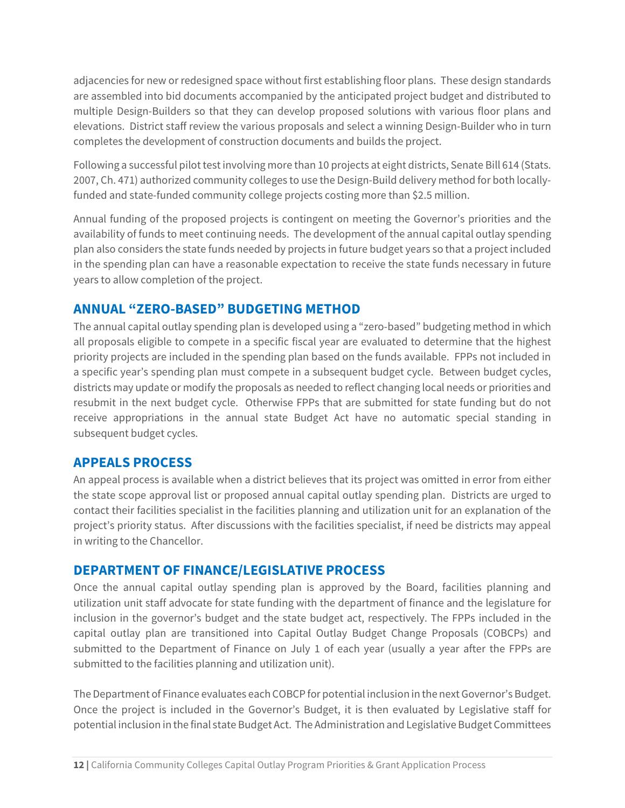adjacencies for new or redesigned space without first establishing floor plans. These design standards are assembled into bid documents accompanied by the anticipated project budget and distributed to multiple Design-Builders so that they can develop proposed solutions with various floor plans and elevations. District staff review the various proposals and select a winning Design-Builder who in turn completes the development of construction documents and builds the project.

Following a successful pilot test involving more than 10 projects at eight districts, Senate Bill 614 (Stats. 2007, Ch. 471) authorized community colleges to use the Design-Build delivery method for both locallyfunded and state-funded community college projects costing more than \$2.5 million.

Annual funding of the proposed projects is contingent on meeting the Governor's priorities and the availability of funds to meet continuing needs. The development of the annual capital outlay spending plan also considers the state funds needed by projects in future budget years so that a project included in the spending plan can have a reasonable expectation to receive the state funds necessary in future years to allow completion of the project.

# **ANNUAL "ZERO-BASED" BUDGETING METHOD**

The annual capital outlay spending plan is developed using a "zero-based" budgeting method in which all proposals eligible to compete in a specific fiscal year are evaluated to determine that the highest priority projects are included in the spending plan based on the funds available. FPPs not included in a specific year's spending plan must compete in a subsequent budget cycle. Between budget cycles, districts may update or modify the proposals as needed to reflect changing local needs or priorities and resubmit in the next budget cycle. Otherwise FPPs that are submitted for state funding but do not receive appropriations in the annual state Budget Act have no automatic special standing in subsequent budget cycles.

## **APPEALS PROCESS**

An appeal process is available when a district believes that its project was omitted in error from either the state scope approval list or proposed annual capital outlay spending plan. Districts are urged to contact their facilities specialist in the facilities planning and utilization unit for an explanation of the project's priority status. After discussions with the facilities specialist, if need be districts may appeal in writing to the Chancellor.

## **DEPARTMENT OF FINANCE/LEGISLATIVE PROCESS**

Once the annual capital outlay spending plan is approved by the Board, facilities planning and utilization unit staff advocate for state funding with the department of finance and the legislature for inclusion in the governor's budget and the state budget act, respectively. The FPPs included in the capital outlay plan are transitioned into Capital Outlay Budget Change Proposals (COBCPs) and submitted to the Department of Finance on July 1 of each year (usually a year after the FPPs are submitted to the facilities planning and utilization unit).

The Department of Finance evaluates each COBCP for potential inclusion in the next Governor's Budget. Once the project is included in the Governor's Budget, it is then evaluated by Legislative staff for potential inclusion in the final state Budget Act. The Administration and Legislative Budget Committees